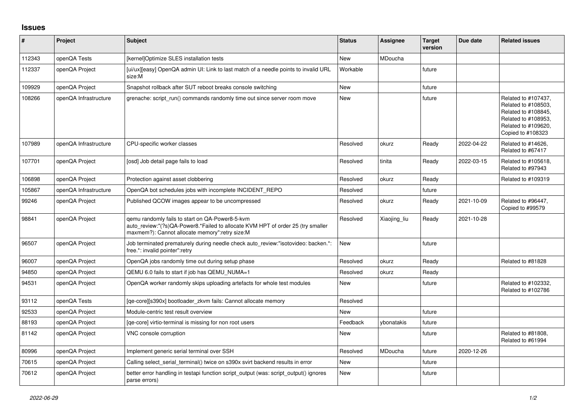## **Issues**

| #      | Project               | Subject                                                                                                                                                                              | <b>Status</b> | <b>Assignee</b> | <b>Target</b><br>version | Due date   | <b>Related issues</b>                                                                                                                |
|--------|-----------------------|--------------------------------------------------------------------------------------------------------------------------------------------------------------------------------------|---------------|-----------------|--------------------------|------------|--------------------------------------------------------------------------------------------------------------------------------------|
| 112343 | openQA Tests          | [kernel]Optimize SLES installation tests                                                                                                                                             | <b>New</b>    | MDoucha         |                          |            |                                                                                                                                      |
| 112337 | openQA Project        | [ui/ux][easy] OpenQA admin UI: Link to last match of a needle points to invalid URL<br>size:M                                                                                        | Workable      |                 | future                   |            |                                                                                                                                      |
| 109929 | openQA Project        | Snapshot rollback after SUT reboot breaks console switching                                                                                                                          | <b>New</b>    |                 | future                   |            |                                                                                                                                      |
| 108266 | openQA Infrastructure | grenache: script run() commands randomly time out since server room move                                                                                                             | <b>New</b>    |                 | future                   |            | Related to #107437.<br>Related to #108503,<br>Related to #108845,<br>Related to #108953,<br>Related to #109620,<br>Copied to #108323 |
| 107989 | openQA Infrastructure | CPU-specific worker classes                                                                                                                                                          | Resolved      | okurz           | Ready                    | 2022-04-22 | Related to #14626,<br>Related to #67417                                                                                              |
| 107701 | openQA Project        | [osd] Job detail page fails to load                                                                                                                                                  | Resolved      | tinita          | Ready                    | 2022-03-15 | Related to #105618,<br>Related to #97943                                                                                             |
| 106898 | openQA Project        | Protection against asset clobbering                                                                                                                                                  | Resolved      | okurz           | Ready                    |            | Related to #109319                                                                                                                   |
| 105867 | openQA Infrastructure | OpenQA bot schedules jobs with incomplete INCIDENT REPO                                                                                                                              | Resolved      |                 | future                   |            |                                                                                                                                      |
| 99246  | openQA Project        | Published QCOW images appear to be uncompressed                                                                                                                                      | Resolved      | okurz           | Ready                    | 2021-10-09 | Related to #96447,<br>Copied to #99579                                                                                               |
| 98841  | openQA Project        | gemu randomly fails to start on QA-Power8-5-kvm<br>auto_review:"(?s)QA-Power8.*Failed to allocate KVM HPT of order 25 (try smaller<br>maxmem?): Cannot allocate memory":retry size:M | Resolved      | Xiaojing_liu    | Ready                    | 2021-10-28 |                                                                                                                                      |
| 96507  | openQA Project        | Job terminated prematurely during needle check auto review:"isotovideo: backen.*:<br>free.*: invalid pointer":retry                                                                  | <b>New</b>    |                 | future                   |            |                                                                                                                                      |
| 96007  | openQA Project        | OpenQA jobs randomly time out during setup phase                                                                                                                                     | Resolved      | okurz           | Ready                    |            | Related to #81828                                                                                                                    |
| 94850  | openQA Project        | QEMU 6.0 fails to start if job has QEMU NUMA=1                                                                                                                                       | Resolved      | okurz           | Ready                    |            |                                                                                                                                      |
| 94531  | openQA Project        | OpenQA worker randomly skips uploading artefacts for whole test modules                                                                                                              | New           |                 | future                   |            | Related to #102332,<br>Related to #102786                                                                                            |
| 93112  | openQA Tests          | [ge-core][s390x] bootloader zkvm fails: Cannot allocate memory                                                                                                                       | Resolved      |                 |                          |            |                                                                                                                                      |
| 92533  | openQA Project        | Module-centric test result overview                                                                                                                                                  | New           |                 | future                   |            |                                                                                                                                      |
| 88193  | openQA Project        | [ge-core] virtio-terminal is missing for non root users                                                                                                                              | Feedback      | ybonatakis      | future                   |            |                                                                                                                                      |
| 81142  | openQA Project        | VNC console corruption                                                                                                                                                               | <b>New</b>    |                 | future                   |            | Related to #81808,<br>Related to #61994                                                                                              |
| 80996  | openQA Project        | Implement generic serial terminal over SSH                                                                                                                                           | Resolved      | MDoucha         | future                   | 2020-12-26 |                                                                                                                                      |
| 70615  | openQA Project        | Calling select serial terminal() twice on s390x svirt backend results in error                                                                                                       | New           |                 | future                   |            |                                                                                                                                      |
| 70612  | openQA Project        | better error handling in testapi function script output (was: script output() ignores<br>parse errors)                                                                               | <b>New</b>    |                 | future                   |            |                                                                                                                                      |